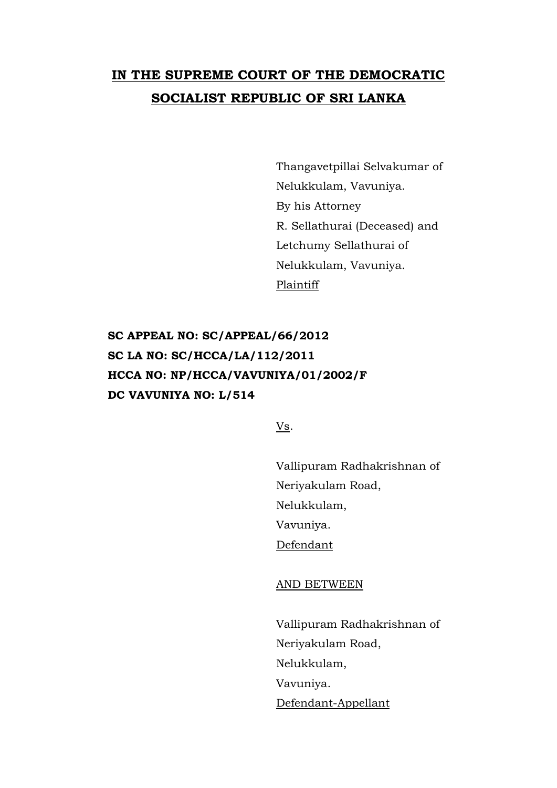## **IN THE SUPREME COURT OF THE DEMOCRATIC SOCIALIST REPUBLIC OF SRI LANKA**

Thangavetpillai Selvakumar of Nelukkulam, Vavuniya. By his Attorney R. Sellathurai (Deceased) and Letchumy Sellathurai of Nelukkulam, Vavuniya. Plaintiff

**SC APPEAL NO: SC/APPEAL/66/2012 SC LA NO: SC/HCCA/LA/112/2011 HCCA NO: NP/HCCA/VAVUNIYA/01/2002/F DC VAVUNIYA NO: L/514**

Vs.

Vallipuram Radhakrishnan of Neriyakulam Road, Nelukkulam, Vavuniya. Defendant

AND BETWEEN

Vallipuram Radhakrishnan of Neriyakulam Road, Nelukkulam, Vavuniya. Defendant-Appellant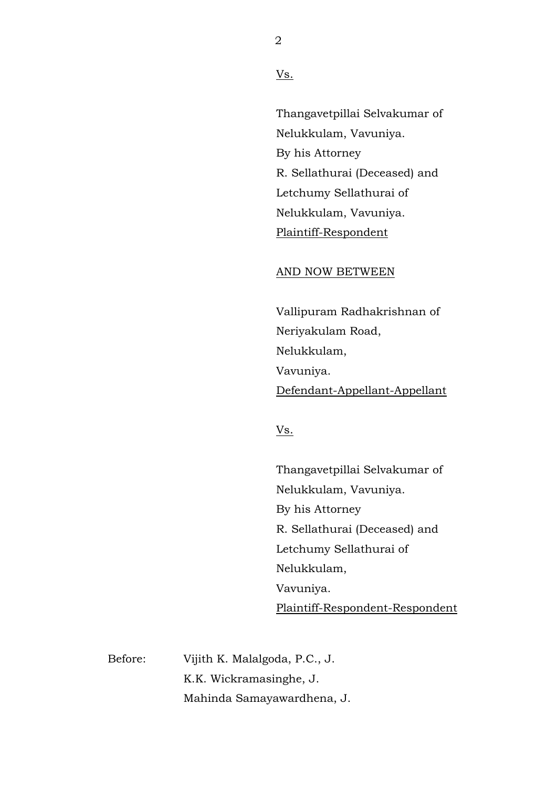Vs.

Thangavetpillai Selvakumar of Nelukkulam, Vavuniya. By his Attorney R. Sellathurai (Deceased) and Letchumy Sellathurai of Nelukkulam, Vavuniya. Plaintiff-Respondent

## AND NOW BETWEEN

Vallipuram Radhakrishnan of Neriyakulam Road, Nelukkulam, Vavuniya. Defendant-Appellant-Appellant

Vs.

Thangavetpillai Selvakumar of Nelukkulam, Vavuniya. By his Attorney R. Sellathurai (Deceased) and Letchumy Sellathurai of Nelukkulam, Vavuniya. Plaintiff-Respondent-Respondent

Before: Vijith K. Malalgoda, P.C., J. K.K. Wickramasinghe, J. Mahinda Samayawardhena, J.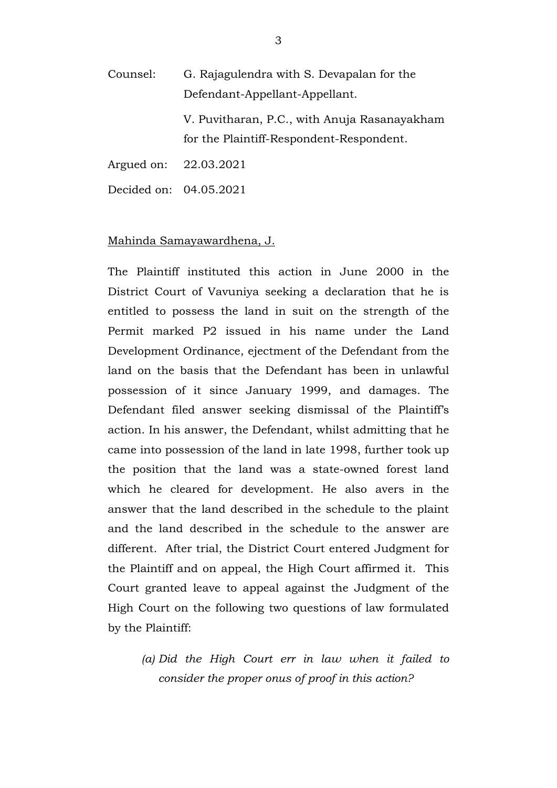Counsel: G. Rajagulendra with S. Devapalan for the Defendant-Appellant-Appellant.

> V. Puvitharan, P.C., with Anuja Rasanayakham for the Plaintiff-Respondent-Respondent.

Argued on: 22.03.2021

Decided on: 04.05.2021

## Mahinda Samayawardhena, J.

The Plaintiff instituted this action in June 2000 in the District Court of Vavuniya seeking a declaration that he is entitled to possess the land in suit on the strength of the Permit marked P2 issued in his name under the Land Development Ordinance, ejectment of the Defendant from the land on the basis that the Defendant has been in unlawful possession of it since January 1999, and damages. The Defendant filed answer seeking dismissal of the Plaintiff's action. In his answer, the Defendant, whilst admitting that he came into possession of the land in late 1998, further took up the position that the land was a state-owned forest land which he cleared for development. He also avers in the answer that the land described in the schedule to the plaint and the land described in the schedule to the answer are different. After trial, the District Court entered Judgment for the Plaintiff and on appeal, the High Court affirmed it. This Court granted leave to appeal against the Judgment of the High Court on the following two questions of law formulated by the Plaintiff:

*(a) Did the High Court err in law when it failed to consider the proper onus of proof in this action?*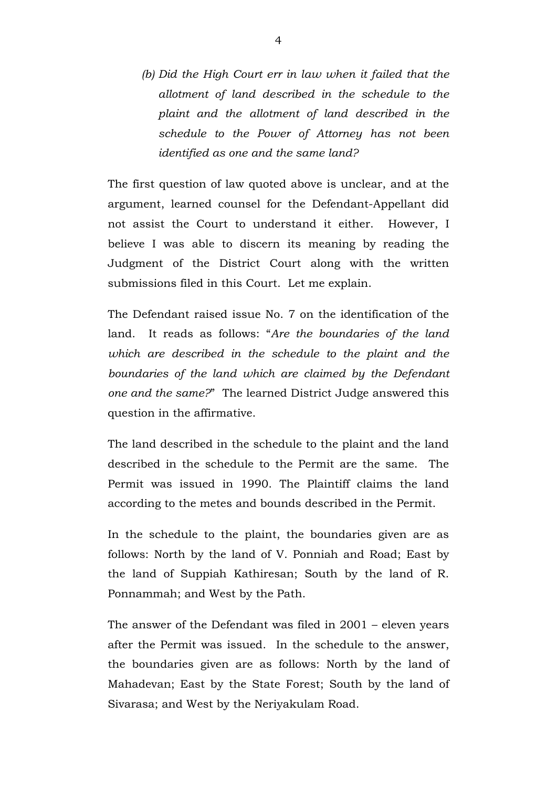*(b) Did the High Court err in law when it failed that the allotment of land described in the schedule to the plaint and the allotment of land described in the schedule to the Power of Attorney has not been identified as one and the same land?*

The first question of law quoted above is unclear, and at the argument, learned counsel for the Defendant-Appellant did not assist the Court to understand it either. However, I believe I was able to discern its meaning by reading the Judgment of the District Court along with the written submissions filed in this Court. Let me explain.

The Defendant raised issue No. 7 on the identification of the land. It reads as follows: "*Are the boundaries of the land*  which are described in the schedule to the plaint and the *boundaries of the land which are claimed by the Defendant one and the same?*" The learned District Judge answered this question in the affirmative.

The land described in the schedule to the plaint and the land described in the schedule to the Permit are the same. The Permit was issued in 1990. The Plaintiff claims the land according to the metes and bounds described in the Permit.

In the schedule to the plaint, the boundaries given are as follows: North by the land of V. Ponniah and Road; East by the land of Suppiah Kathiresan; South by the land of R. Ponnammah; and West by the Path.

The answer of the Defendant was filed in 2001 – eleven years after the Permit was issued. In the schedule to the answer, the boundaries given are as follows: North by the land of Mahadevan; East by the State Forest; South by the land of Sivarasa; and West by the Neriyakulam Road.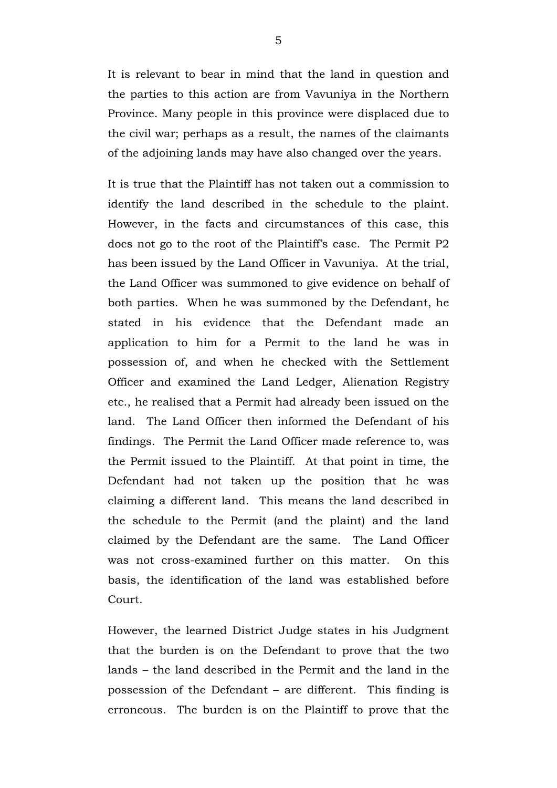It is relevant to bear in mind that the land in question and the parties to this action are from Vavuniya in the Northern Province. Many people in this province were displaced due to the civil war; perhaps as a result, the names of the claimants of the adjoining lands may have also changed over the years.

It is true that the Plaintiff has not taken out a commission to identify the land described in the schedule to the plaint. However, in the facts and circumstances of this case, this does not go to the root of the Plaintiff's case. The Permit P2 has been issued by the Land Officer in Vavuniya. At the trial, the Land Officer was summoned to give evidence on behalf of both parties. When he was summoned by the Defendant, he stated in his evidence that the Defendant made an application to him for a Permit to the land he was in possession of, and when he checked with the Settlement Officer and examined the Land Ledger, Alienation Registry etc., he realised that a Permit had already been issued on the land. The Land Officer then informed the Defendant of his findings. The Permit the Land Officer made reference to, was the Permit issued to the Plaintiff. At that point in time, the Defendant had not taken up the position that he was claiming a different land. This means the land described in the schedule to the Permit (and the plaint) and the land claimed by the Defendant are the same. The Land Officer was not cross-examined further on this matter. On this basis, the identification of the land was established before Court.

However, the learned District Judge states in his Judgment that the burden is on the Defendant to prove that the two lands – the land described in the Permit and the land in the possession of the Defendant – are different. This finding is erroneous. The burden is on the Plaintiff to prove that the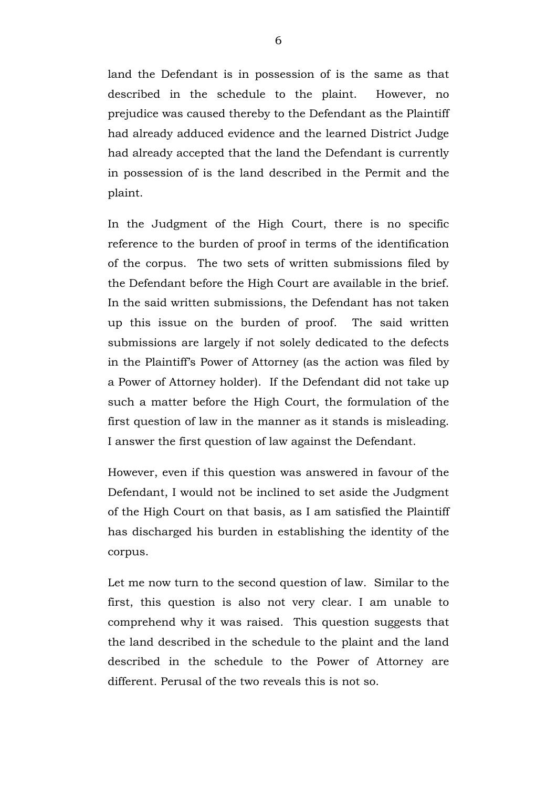land the Defendant is in possession of is the same as that described in the schedule to the plaint. However, no prejudice was caused thereby to the Defendant as the Plaintiff had already adduced evidence and the learned District Judge had already accepted that the land the Defendant is currently in possession of is the land described in the Permit and the plaint.

In the Judgment of the High Court, there is no specific reference to the burden of proof in terms of the identification of the corpus. The two sets of written submissions filed by the Defendant before the High Court are available in the brief. In the said written submissions, the Defendant has not taken up this issue on the burden of proof. The said written submissions are largely if not solely dedicated to the defects in the Plaintiff's Power of Attorney (as the action was filed by a Power of Attorney holder). If the Defendant did not take up such a matter before the High Court, the formulation of the first question of law in the manner as it stands is misleading. I answer the first question of law against the Defendant.

However, even if this question was answered in favour of the Defendant, I would not be inclined to set aside the Judgment of the High Court on that basis, as I am satisfied the Plaintiff has discharged his burden in establishing the identity of the corpus.

Let me now turn to the second question of law. Similar to the first, this question is also not very clear. I am unable to comprehend why it was raised. This question suggests that the land described in the schedule to the plaint and the land described in the schedule to the Power of Attorney are different. Perusal of the two reveals this is not so.